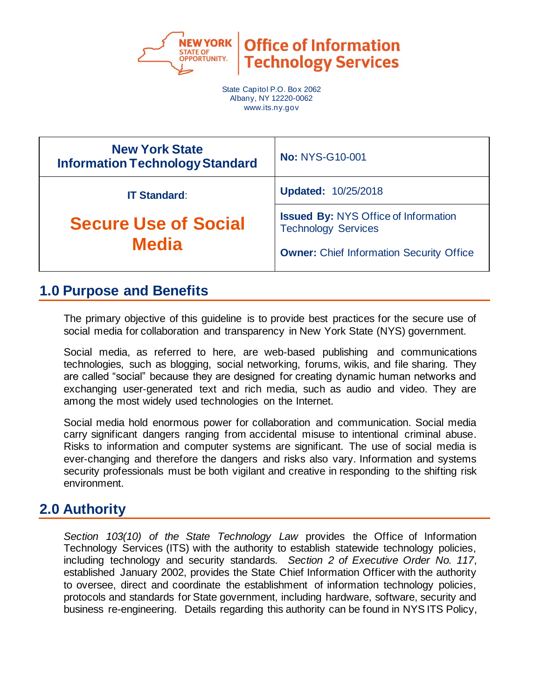

**Office of Information Technology Services** 

State Capitol P.O. Box 2062 Albany, NY 12220-0062 www.its.ny.gov

| <b>New York State</b><br><b>Information Technology Standard</b> | <b>No: NYS-G10-001</b>                                                    |  |
|-----------------------------------------------------------------|---------------------------------------------------------------------------|--|
| <b>IT Standard:</b>                                             | <b>Updated: 10/25/2018</b>                                                |  |
| <b>Secure Use of Social</b><br><b>Media</b>                     | <b>Issued By: NYS Office of Information</b><br><b>Technology Services</b> |  |
|                                                                 | <b>Owner:</b> Chief Information Security Office                           |  |

# **1.0 Purpose and Benefits**

The primary objective of this guideline is to provide best practices for the secure use of social media for collaboration and transparency in New York State (NYS) government.

Social media, as referred to here, are web‐based publishing and communications technologies, such as blogging, social networking, forums, wikis, and file sharing. They are called "social" because they are designed for creating dynamic human networks and exchanging user‐generated text and rich media, such as audio and video. They are among the most widely used technologies on the Internet.

Social media hold enormous power for collaboration and communication. Social media carry significant dangers ranging from accidental misuse to intentional criminal abuse. Risks to information and computer systems are significant. The use of social media is ever-changing and therefore the dangers and risks also vary. Information and systems security professionals must be both vigilant and creative in responding to the shifting risk environment.

# **2.0 Authority**

*Section 103(10) of the State Technology Law* provides the Office of Information Technology Services (ITS) with the authority to establish statewide technology policies, including technology and security standards. *Section 2 of Executive Order No. 117*, established January 2002, provides the State Chief Information Officer with the authority to oversee, direct and coordinate the establishment of information technology policies, protocols and standards for State government, including hardware, software, security and business re-engineering. Details regarding this authority can be found in NYS ITS Policy,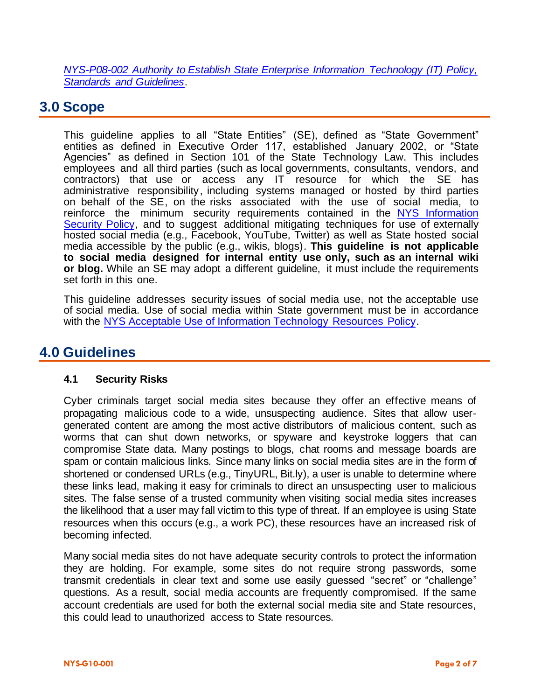*[NYS-P08-002 Authority to Establish State Enterprise Information Technology \(IT\) Policy,](https://its.ny.gov/document/authority-establish-state-enterprise-information-technology-it-policy-standards-and-guidelines)  [Standards and Guidelines](https://its.ny.gov/document/authority-establish-state-enterprise-information-technology-it-policy-standards-and-guidelines)*.

## **3.0 Scope**

This guideline applies to all "State Entities" (SE), defined as "State Government" entities as defined in Executive Order 117, established January 2002, or "State Agencies" as defined in Section 101 of the State Technology Law. This includes employees and all third parties (such as local governments, consultants, vendors, and contractors) that use or access any IT resource for which the SE has administrative responsibility, including systems managed or hosted by third parties on behalf of the SE, on the risks associated with the use of social media, to reinforce the minimum security requirements contained in the NYS Information Security Policy, and to suggest additional mitigating techniques for use of externally hosted social media (e.g., Facebook, YouTube, Twitter) as well as State hosted social media accessible by the public (e.g., wikis, blogs). **This guideline is not applicable to social media designed for internal entity use only, such as an internal wiki or blog.** While an SE may adopt a different guideline, it must include the requirements set forth in this one.

This guideline addresses security issues of social media use, not the acceptable use of social media. Use of social media within State government must be in accordance wit[h the NYS Acceptable Use of Information Technology Resources Policy](https://its.ny.gov/document/acceptable-use-information-technology-it-resources-policy).

# **4.0 Guidelines**

### **4.1 Security Risks**

Cyber criminals target social media sites because they offer an effective means of propagating malicious code to a wide, unsuspecting audience. Sites that allow user‐ generated content are among the most active distributors of malicious content, such as worms that can shut down networks, or spyware and keystroke loggers that can compromise State data. Many postings to blogs, chat rooms and message boards are spam or contain malicious links. Since many links on social media sites are in the form of shortened or condensed URLs (e.g., TinyURL, Bit.ly), a user is unable to determine where these links lead, making it easy for criminals to direct an unsuspecting user to malicious sites. The false sense of a trusted community when visiting social media sites increases the likelihood that a user may fall victim to this type of threat. If an employee is using State resources when this occurs (e.g., a work PC), these resources have an increased risk of becoming infected.

Many social media sites do not have adequate security controls to protect the information they are holding. For example, some sites do not require strong passwords, some transmit credentials in clear text and some use easily guessed "secret" or "challenge" questions. As a result, social media accounts are frequently compromised. If the same account credentials are used for both the external social media site and State resources, this could lead to unauthorized access to State resources.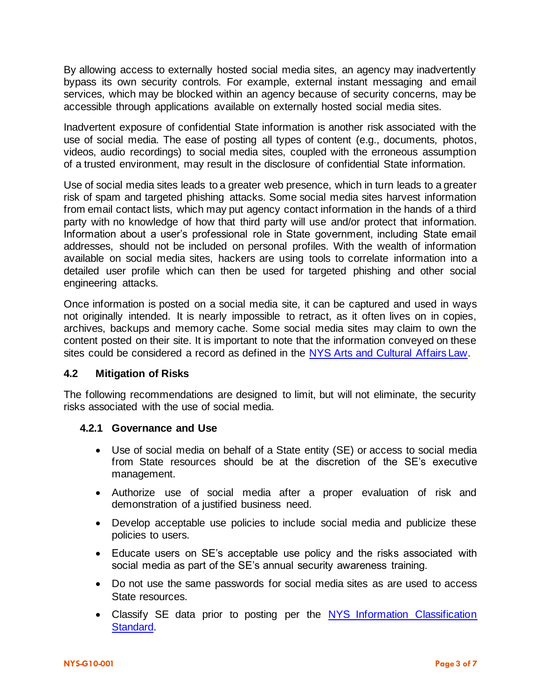By allowing access to externally hosted social media sites, an agency may inadvertently bypass its own security controls. For example, external instant messaging and email services, which may be blocked within an agency because of security concerns, may be accessible through applications available on externally hosted social media sites.

Inadvertent exposure of confidential State information is another risk associated with the use of social media. The ease of posting all types of content (e.g., documents, photos, videos, audio recordings) to social media sites, coupled with the erroneous assumption of a trusted environment, may result in the disclosure of confidential State information.

Use of social media sites leads to a greater web presence, which in turn leads to a greater risk of spam and targeted phishing attacks. Some social media sites harvest information from email contact lists, which may put agency contact information in the hands of a third party with no knowledge of how that third party will use and/or protect that information. Information about a user's professional role in State government, including State email addresses, should not be included on personal profiles. With the wealth of information available on social media sites, hackers are using tools to correlate information into a detailed user profile which can then be used for targeted phishing and other social engineering attacks.

Once information is posted on a social media site, it can be captured and used in ways not originally intended. It is nearly impossible to retract, as it often lives on in copies, archives, backups and memory cache. Some social media sites may claim to own the content posted on their site. It is important to note that the information conveyed on these sites could be considered a record as defined in the [NYS Arts and Cultural Affairs Law.](http://www.archives.nysed.gov/records/mr_laws_acal5705.shtml)

### **4.2 Mitigation of Risks**

The following recommendations are designed to limit, but will not eliminate, the security risks associated with the use of social media.

### **4.2.1 Governance and Use**

- Use of social media on behalf of a State entity (SE) or access to social media from State resources should be at the discretion of the SE's executive management.
- Authorize use of social media after a proper evaluation of risk and demonstration of a justified business need.
- Develop acceptable use policies to include social media and publicize these policies to users.
- Educate users on SE's acceptable use policy and the risks associated with social media as part of the SE's annual security awareness training.
- Do not use the same passwords for social media sites as are used to access State resources.
- Classify SE data prior to posting per the NYS Information Classification **[Standard.](https://its.ny.gov/document/information-classification-standard)**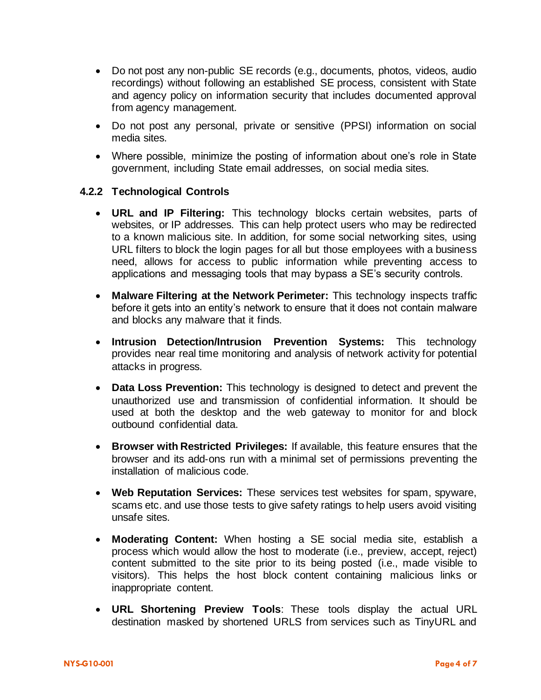- Do not post any non-public SE records (e.g., documents, photos, videos, audio recordings) without following an established SE process, consistent with State and agency policy on information security that includes documented approval from agency management.
- Do not post any personal, private or sensitive (PPSI) information on social media sites.
- Where possible, minimize the posting of information about one's role in State government, including State email addresses, on social media sites.

### **4.2.2 Technological Controls**

- **URL and IP Filtering:** This technology blocks certain websites, parts of websites, or IP addresses. This can help protect users who may be redirected to a known malicious site. In addition, for some social networking sites, using URL filters to block the login pages for all but those employees with a business need, allows for access to public information while preventing access to applications and messaging tools that may bypass a SE's security controls.
- **Malware Filtering at the Network Perimeter:** This technology inspects traffic before it gets into an entity's network to ensure that it does not contain malware and blocks any malware that it finds.
- **Intrusion Detection/Intrusion Prevention Systems:** This technology provides near real time monitoring and analysis of network activity for potential attacks in progress.
- **Data Loss Prevention:** This technology is designed to detect and prevent the unauthorized use and transmission of confidential information. It should be used at both the desktop and the web gateway to monitor for and block outbound confidential data.
- **Browser with Restricted Privileges:** If available, this feature ensures that the browser and its add‐ons run with a minimal set of permissions preventing the installation of malicious code.
- **Web Reputation Services:** These services test websites for spam, spyware, scams etc. and use those tests to give safety ratings to help users avoid visiting unsafe sites.
- **Moderating Content:** When hosting a SE social media site, establish a process which would allow the host to moderate (i.e., preview, accept, reject) content submitted to the site prior to its being posted (i.e., made visible to visitors). This helps the host block content containing malicious links or inappropriate content.
- **URL Shortening Preview Tools**: These tools display the actual URL destination masked by shortened URLS from services such as TinyURL and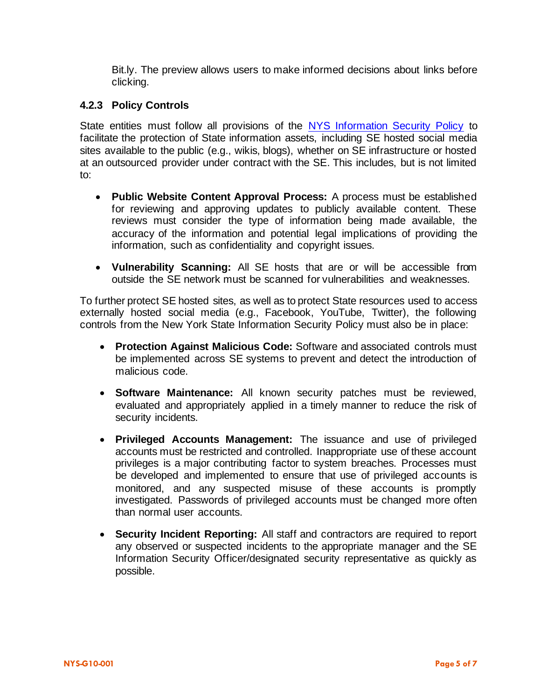Bit.ly. The preview allows users to make informed decisions about links before clicking.

## **4.2.3 Policy Controls**

State entities must follow all provisions of the [NYS Information Security Policy](https://its.ny.gov/document/information-security-policy) to facilitate the protection of State information assets, including SE hosted social media sites available to the public (e.g., wikis, blogs), whether on SE infrastructure or hosted at an outsourced provider under contract with the SE. This includes, but is not limited to:

- **Public Website Content Approval Process:** A process must be established for reviewing and approving updates to publicly available content. These reviews must consider the type of information being made available, the accuracy of the information and potential legal implications of providing the information, such as confidentiality and copyright issues.
- **Vulnerability Scanning:** All SE hosts that are or will be accessible from outside the SE network must be scanned for vulnerabilities and weaknesses.

To further protect SE hosted sites, as well as to protect State resources used to access externally hosted social media (e.g., Facebook, YouTube, Twitter), the following controls from the New York State Information Security Policy must also be in place:

- **Protection Against Malicious Code:** Software and associated controls must be implemented across SE systems to prevent and detect the introduction of malicious code.
- **Software Maintenance:** All known security patches must be reviewed, evaluated and appropriately applied in a timely manner to reduce the risk of security incidents.
- **Privileged Accounts Management:** The issuance and use of privileged accounts must be restricted and controlled. Inappropriate use of these account privileges is a major contributing factor to system breaches. Processes must be developed and implemented to ensure that use of privileged accounts is monitored, and any suspected misuse of these accounts is promptly investigated. Passwords of privileged accounts must be changed more often than normal user accounts.
- **Security Incident Reporting:** All staff and contractors are required to report any observed or suspected incidents to the appropriate manager and the SE Information Security Officer/designated security representative as quickly as possible.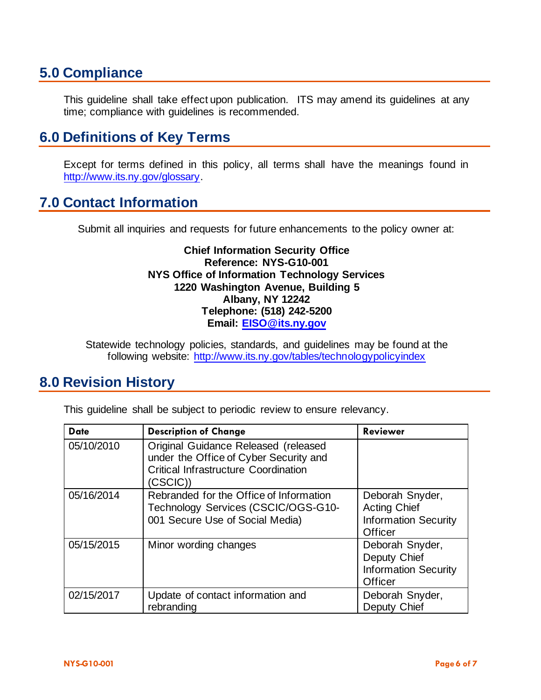# **5.0 Compliance**

This guideline shall take effect upon publication. ITS may amend its guidelines at any time; compliance with guidelines is recommended.

# **6.0 Definitions of Key Terms**

Except for terms defined in this policy, all terms shall have the meanings found in [http://www.its.ny.gov/glossary.](http://www.its.ny.gov/glossary)

## **7.0 Contact Information**

Submit all inquiries and requests for future enhancements to the policy owner at:

### **Chief Information Security Office Reference: NYS-G10-001 NYS Office of Information Technology Services 1220 Washington Avenue, Building 5 Albany, NY 12242 Telephone: (518) 242-5200 Email: [EISO@its.ny.gov](mailto:EISO@its.ny.gov)**

Statewide technology policies, standards, and guidelines may be found at the following website: <http://www.its.ny.gov/tables/technologypolicyindex>

# **8.0 Revision History**

This guideline shall be subject to periodic review to ensure relevancy.

| <b>Date</b> | <b>Description of Change</b>                                                                                                              | <b>Reviewer</b>                                                                  |
|-------------|-------------------------------------------------------------------------------------------------------------------------------------------|----------------------------------------------------------------------------------|
| 05/10/2010  | Original Guidance Released (released<br>under the Office of Cyber Security and<br><b>Critical Infrastructure Coordination</b><br>(CSCIC)) |                                                                                  |
| 05/16/2014  | Rebranded for the Office of Information<br>Technology Services (CSCIC/OGS-G10-<br>001 Secure Use of Social Media)                         | Deborah Snyder,<br><b>Acting Chief</b><br><b>Information Security</b><br>Officer |
| 05/15/2015  | Minor wording changes                                                                                                                     | Deborah Snyder,<br>Deputy Chief<br><b>Information Security</b><br>Officer        |
| 02/15/2017  | Update of contact information and<br>rebranding                                                                                           | Deborah Snyder,<br>Deputy Chief                                                  |